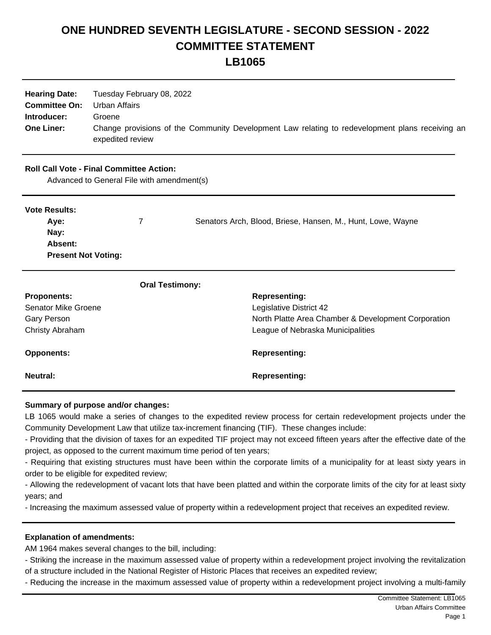## **ONE HUNDRED SEVENTH LEGISLATURE - SECOND SESSION - 2022 COMMITTEE STATEMENT LB1065**

| <b>Hearing Date:</b><br><b>Committee On:</b><br>Introducer:<br><b>One Liner:</b> | Tuesday February 08, 2022<br><b>Urban Affairs</b><br>Groene<br>Change provisions of the Community Development Law relating to redevelopment plans receiving an<br>expedited review |                                                             |
|----------------------------------------------------------------------------------|------------------------------------------------------------------------------------------------------------------------------------------------------------------------------------|-------------------------------------------------------------|
|                                                                                  | <b>Roll Call Vote - Final Committee Action:</b><br>Advanced to General File with amendment(s)                                                                                      |                                                             |
| <b>Vote Results:</b><br>Aye:                                                     | 7                                                                                                                                                                                  | Senators Arch, Blood, Briese, Hansen, M., Hunt, Lowe, Wayne |
| Nay:<br>Absent:<br><b>Present Not Voting:</b>                                    |                                                                                                                                                                                    |                                                             |
|                                                                                  | <b>Oral Testimony:</b>                                                                                                                                                             |                                                             |
| <b>Proponents:</b>                                                               |                                                                                                                                                                                    | <b>Representing:</b>                                        |
| <b>Senator Mike Groene</b>                                                       |                                                                                                                                                                                    | Legislative District 42                                     |
| <b>Gary Person</b>                                                               |                                                                                                                                                                                    | North Platte Area Chamber & Development Corporation         |
| Christy Abraham                                                                  |                                                                                                                                                                                    | League of Nebraska Municipalities                           |
| <b>Opponents:</b>                                                                |                                                                                                                                                                                    | <b>Representing:</b>                                        |
| <b>Neutral:</b>                                                                  |                                                                                                                                                                                    | <b>Representing:</b>                                        |

## **Summary of purpose and/or changes:**

LB 1065 would make a series of changes to the expedited review process for certain redevelopment projects under the Community Development Law that utilize tax-increment financing (TIF). These changes include:

- Providing that the division of taxes for an expedited TIF project may not exceed fifteen years after the effective date of the project, as opposed to the current maximum time period of ten years;

- Requiring that existing structures must have been within the corporate limits of a municipality for at least sixty years in order to be eligible for expedited review;

- Allowing the redevelopment of vacant lots that have been platted and within the corporate limits of the city for at least sixty years; and

- Increasing the maximum assessed value of property within a redevelopment project that receives an expedited review.

## **Explanation of amendments:**

AM 1964 makes several changes to the bill, including:

- Striking the increase in the maximum assessed value of property within a redevelopment project involving the revitalization of a structure included in the National Register of Historic Places that receives an expedited review;

- Reducing the increase in the maximum assessed value of property within a redevelopment project involving a multi-family